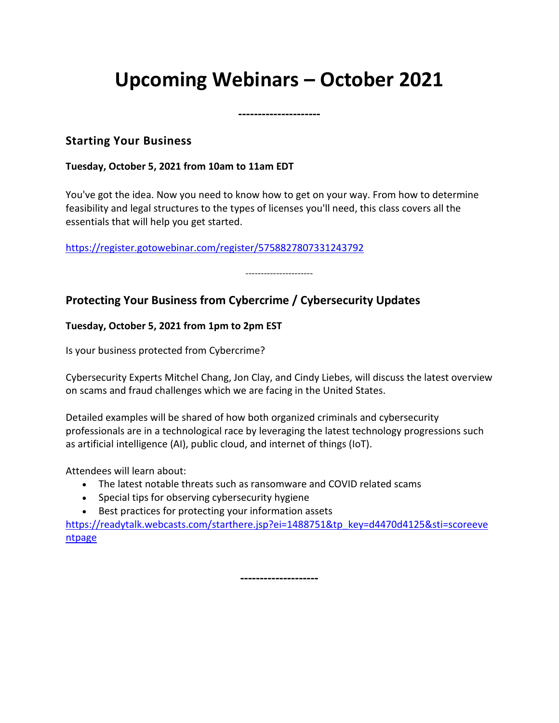# **Upcoming Webinars – October 2021**

**---------------------**

### **Starting Your Business**

#### **Tuesday, October 5, 2021 from 10am to 11am EDT**

You've got the idea. Now you need to know how to get on your way. From how to determine feasibility and legal structures to the types of licenses you'll need, this class covers all the essentials that will help you get started.

<https://register.gotowebinar.com/register/5758827807331243792>

----------------------

# **Protecting Your Business from Cybercrime / Cybersecurity Updates**

### **Tuesday, October 5, 2021 from 1pm to 2pm EST**

Is your business protected from Cybercrime?

Cybersecurity Experts Mitchel Chang, Jon Clay, and Cindy Liebes, will discuss the latest overview on scams and fraud challenges which we are facing in the United States.

Detailed examples will be shared of how both organized criminals and cybersecurity professionals are in a technological race by leveraging the latest technology progressions such as artificial intelligence (AI), public cloud, and internet of things (IoT).

Attendees will learn about:

- The latest notable threats such as ransomware and COVID related scams
- Special tips for observing cybersecurity hygiene
- Best practices for protecting your information assets

[https://readytalk.webcasts.com/starthere.jsp?ei=1488751&tp\\_key=d4470d4125&sti=scoreeve](https://readytalk.webcasts.com/starthere.jsp?ei=1488751&tp_key=d4470d4125&sti=scoreeventpage) [ntpage](https://readytalk.webcasts.com/starthere.jsp?ei=1488751&tp_key=d4470d4125&sti=scoreeventpage)

**--------------------**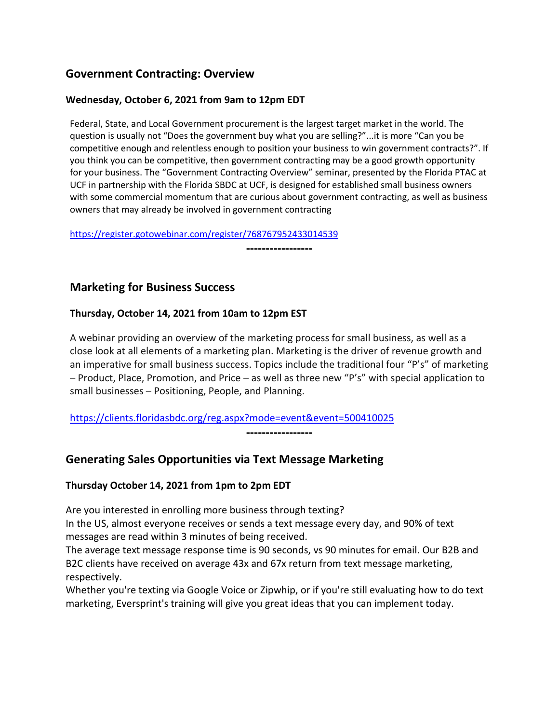# **Government Contracting: Overview**

#### **Wednesday, October 6, 2021 from 9am to 12pm EDT**

Federal, State, and Local Government procurement is the largest target market in the world. The question is usually not "Does the government buy what you are selling?"...it is more "Can you be competitive enough and relentless enough to position your business to win government contracts?". If you think you can be competitive, then government contracting may be a good growth opportunity for your business. The "Government Contracting Overview" seminar, presented by the Florida PTAC at UCF in partnership with the Florida SBDC at UCF, is designed for established small business owners with some commercial momentum that are curious about government contracting, as well as business owners that may already be involved in government contracting

**-----------------**

<https://register.gotowebinar.com/register/768767952433014539>

### **Marketing for Business Success**

#### **Thursday, October 14, 2021 from 10am to 12pm EST**

A webinar providing an overview of the marketing process for small business, as well as a close look at all elements of a marketing plan. Marketing is the driver of revenue growth and an imperative for small business success. Topics include the traditional four "P's" of marketing – Product, Place, Promotion, and Price – as well as three new "P's" with special application to small businesses – Positioning, People, and Planning.

#### <https://clients.floridasbdc.org/reg.aspx?mode=event&event=500410025>

**-----------------**

# **Generating Sales Opportunities via Text Message Marketing**

#### **Thursday October 14, 2021 from 1pm to 2pm EDT**

Are you interested in enrolling more business through texting?

In the US, almost everyone receives or sends a text message every day, and 90% of text messages are read within 3 minutes of being received.

The average text message response time is 90 seconds, vs 90 minutes for email. Our B2B and B2C clients have received on average 43x and 67x return from text message marketing, respectively.

Whether you're texting via Google Voice or Zipwhip, or if you're still evaluating how to do text marketing, Eversprint's training will give you great ideas that you can implement today.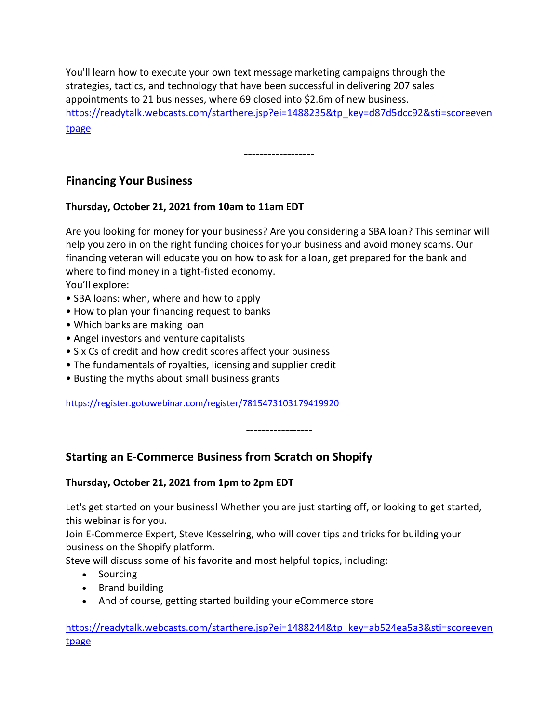You'll learn how to execute your own text message marketing campaigns through the strategies, tactics, and technology that have been successful in delivering 207 sales appointments to 21 businesses, where 69 closed into \$2.6m of new business. [https://readytalk.webcasts.com/starthere.jsp?ei=1488235&tp\\_key=d87d5dcc92&sti=scoreeven](https://readytalk.webcasts.com/starthere.jsp?ei=1488235&tp_key=d87d5dcc92&sti=scoreeventpage) [tpage](https://readytalk.webcasts.com/starthere.jsp?ei=1488235&tp_key=d87d5dcc92&sti=scoreeventpage)

**------------------**

# **Financing Your Business**

#### **Thursday, October 21, 2021 from 10am to 11am EDT**

Are you looking for money for your business? Are you considering a SBA loan? This seminar will help you zero in on the right funding choices for your business and avoid money scams. Our financing veteran will educate you on how to ask for a loan, get prepared for the bank and where to find money in a tight-fisted economy. You'll explore:

- SBA loans: when, where and how to apply
- How to plan your financing request to banks
- Which banks are making loan
- Angel investors and venture capitalists
- Six Cs of credit and how credit scores affect your business
- The fundamentals of royalties, licensing and supplier credit
- Busting the myths about small business grants

<https://register.gotowebinar.com/register/7815473103179419920>

**-----------------**

# **Starting an E-Commerce Business from Scratch on Shopify**

#### **Thursday, October 21, 2021 from 1pm to 2pm EDT**

Let's get started on your business! Whether you are just starting off, or looking to get started, this webinar is for you.

Join E-Commerce Expert, Steve Kesselring, who will cover tips and tricks for building your business on the Shopify platform.

Steve will discuss some of his favorite and most helpful topics, including:

- Sourcing
- Brand building
- And of course, getting started building your eCommerce store

[https://readytalk.webcasts.com/starthere.jsp?ei=1488244&tp\\_key=ab524ea5a3&sti=scoreeven](https://readytalk.webcasts.com/starthere.jsp?ei=1488244&tp_key=ab524ea5a3&sti=scoreeventpage) [tpage](https://readytalk.webcasts.com/starthere.jsp?ei=1488244&tp_key=ab524ea5a3&sti=scoreeventpage)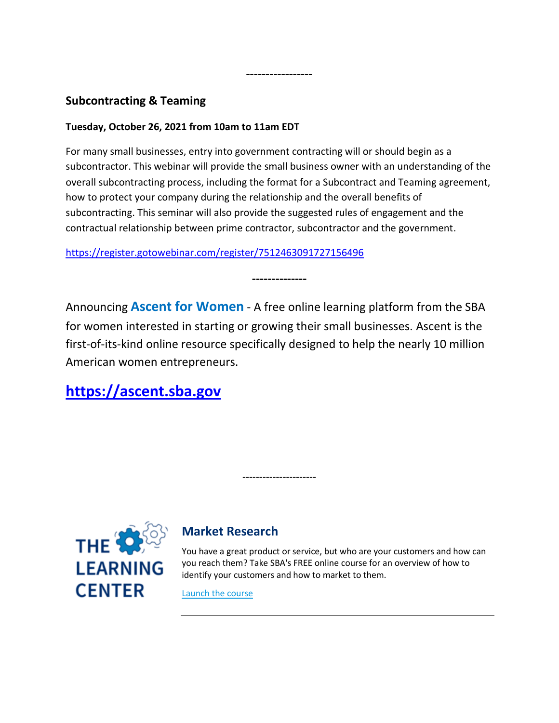# **Subcontracting & Teaming**

#### **Tuesday, October 26, 2021 from 10am to 11am EDT**

For many small businesses, entry into government contracting will or should begin as a subcontractor. This webinar will provide the small business owner with an understanding of the overall subcontracting process, including the format for a Subcontract and Teaming agreement, how to protect your company during the relationship and the overall benefits of subcontracting. This seminar will also provide the suggested rules of engagement and the contractual relationship between prime contractor, subcontractor and the government.

**-----------------**

<https://register.gotowebinar.com/register/7512463091727156496>

Announcing **Ascent for Women** - A free online learning platform from the SBA for women interested in starting or growing their small businesses. Ascent is the first-of-its-kind online resource specifically designed to help the nearly 10 million American women entrepreneurs.

----------------------

**--------------**

**[https://ascent.sba.gov](https://ascent.sba.gov/)**



# **Market Research**

You have a great product or service, but who are your customers and how can you reach them? Take SBA's FREE online course for an overview of how to identify your customers and how to market to them.

[Launch the course](https://gcc01.safelinks.protection.outlook.com/?url=http%3A%2F%2Flinks.govdelivery.com%3A80%2Ftrack%3Ftype%3Dclick%26enid%3DZWFzPTEmbXNpZD0mYXVpZD0mbWFpbGluZ2lkPTIwMTkwNjIzLjcyODQzNTEmbWVzc2FnZWlkPU1EQi1QUkQtQlVMLTIwMTkwNjIzLjcyODQzNTEmZGF0YWJhc2VpZD0xMDAxJnNlcmlhbD0xNzE4ODYxMSZlbWFpbGlkPWxlb24ua295YW1hQHNiYS5nb3YmdXNlcmlkPWxlb24ua295YW1hQHNiYS5nb3YmdGFyZ2V0aWQ9JmZsPSZtdmlkPSZleHRyYT0mJiY%3D%26%26%26104%26%26%26https%3A%2F%2Fwww.sba.gov%2Fcourse%2Fmarket-research%2F%3Futm_medium%3Demail%26utm_source%3Dgovdelivery&data=02%7C01%7Cleon.koyama%40sba.gov%7C92abe79277314e8f3ef108d6f7e220d4%7C3c89fd8a7f684667aa1541ebf2208961%7C1%7C0%7C636968947920384749&sdata=mGRQC9EW3cGZGVsV8oLV2nXpGghafSHfI7Fxnrv8pTI%3D&reserved=0)